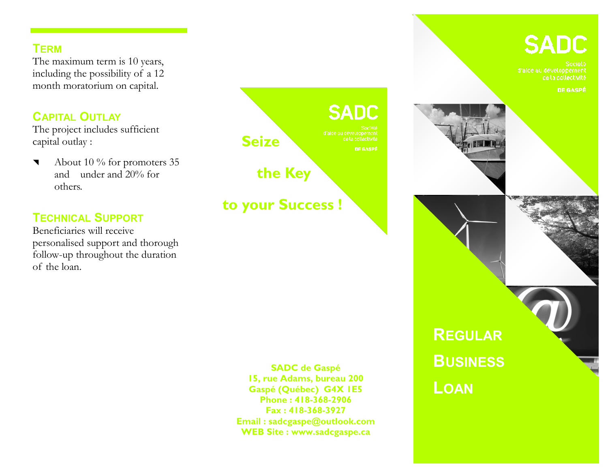#### **TERM**

The maximum term is 10 years, including the possibility of a 12 month moratorium on capital.

## **CAPITAL OUTLAY**

The project includes sufficient capital outlay :

 About 10 % for promoters 35 and under and 20% for others.

## **TECHNICAL SUPPORT**

Beneficiaries will receive personalised support and thorough follow-up throughout the duration of the loan.



**SADC de Gaspé 15, rue Adams, bureau 200 Gaspé (Québec) G4X 1E5 Phone : 418-368-2906 Fax : 418-368-3927 Email : sadcgaspe@outlook.com WEB Site : www.sadcgaspe.ca** 

# **SADC**

d'alde au développement de la collectivité

**DE GASPÉ** 

**REGULAR BUSINESS**

**LOAN**